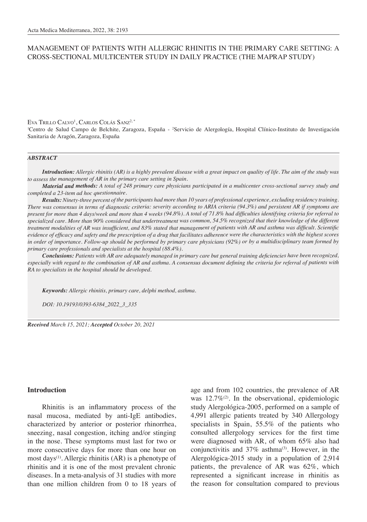# MANAGEMENT OF PATIENTS WITH ALLERGIC RHINITIS IN THE PRIMARY CARE SETTING: A CROSS-SECTIONAL MULTICENTER STUDY IN DAILY PRACTICE (THE MAPRAP STUDY)

Eva Trillo Calvo<sup>1</sup>, Carlos Colás Sanz<sup>2, \*</sup>

<sup>1</sup>Centro de Salud Campo de Belchite, Zaragoza, España - <sup>2</sup>Servicio de Alergología, Hospital Clínico-Instituto de Investigación Sanitaria de Aragón, Zaragoza, España

#### *ABSTRACT*

*Introduction: Allergic rhinitis (AR) is a highly prevalent disease with a great impact on quality of life. The aim of the study was to assess the management of AR in the primary care setting in Spain.*

*Material and methods: A total of 248 primary care physicians participated in a multicenter cross-sectional survey study and completed a 23-item ad hoc questionnaire.*

*Results: Ninety-three percent of the participants had more than 10 years of professional experience, excluding residency training. There was consensus in terms of diagnostic criteria: severity according to ARIA criteria (94.3%) and persistent AR if symptoms are present for more than 4 days/week and more than 4 weeks (94.8%). A total of 71.8% had difficulties identifying criteria for referral to specialized care. More than 90% considered that undertreatment was common, 54.5% recognized that their knowledge of the different treatment modalities of AR was insufficient, and 83% stated that management of patients with AR and asthma was difficult. Scientific evidence of efficacy and safety and the prescription of a drug that facilitates adherence were the characteristics with the highest scores in order of importance. Follow-up should be performed by primary care physicians (92%) or by a multidisciplinary team formed by primary care professionals and specialists at the hospital (88.4%).*

*Conclusions: Patients with AR are adequately managed in primary care but general training deficiencies have been recognized, especially with regard to the combination of AR and asthma. A consensus document defining the criteria for referral of patients with RA to specialists in the hospital should be developed.*

*Keywords: Allergic rhinitis, primary care, delphi method, asthma.*

*DOI: 10.19193/0393-6384\_2022\_3\_335*

*Received March 15, 2021; Accepted October 20, 2021*

### **Introduction**

Rhinitis is an inflammatory process of the nasal mucosa, mediated by anti-IgE antibodies, characterized by anterior or posterior rhinorrhea, sneezing, nasal congestion, itching and/or stinging in the nose. These symptoms must last for two or more consecutive days for more than one hour on most days<sup>(1)</sup>. Allergic rhinitis (AR) is a phenotype of rhinitis and it is one of the most prevalent chronic diseases. In a meta-analysis of 31 studies with more than one million children from 0 to 18 years of age and from 102 countries, the prevalence of AR was  $12.7\%$ <sup>(2)</sup>. In the observational, epidemiologic study Alergológica-2005, performed on a sample of 4,991 allergic patients treated by 340 Allergology specialists in Spain, 55.5% of the patients who consulted allergology services for the first time were diagnosed with AR, of whom 65% also had conjunctivitis and  $37\%$  asthma<sup>(3)</sup>. However, in the Alergológica-2015 study in a population of 2,914 patients, the prevalence of AR was 62%, which represented a significant increase in rhinitis as the reason for consultation compared to previous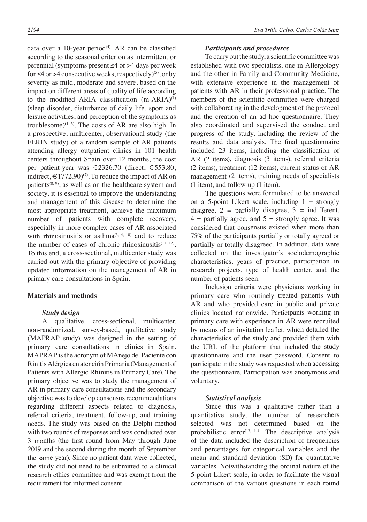data over a 10-year period<sup> $(4)$ </sup>. AR can be classified according to the seasonal criterion as intermittent or perennial (symptoms present ≤4 or >4 days per week for  $\leq 4$  or  $>4$  consecutive weeks, respectively)<sup>(5)</sup>, or by severity as mild, moderate and severe, based on the impact on different areas of quality of life according to the modified ARIA classification  $(m-ARIA)^{(1)}$ (sleep disorder, disturbance of daily life, sport and leisure activities, and perception of the symptoms as troublesome) $(1, 6)$ . The costs of AR are also high. In a prospective, multicenter, observational study (the FERIN study) of a random sample of AR patients attending allergy outpatient clinics in 101 health centers throughout Spain over 12 months, the cost per patient-year was €2326.70 (direct, €553.80; indirect,  $\in$  1772.90)<sup>(7)</sup>. To reduce the impact of AR on patients<sup> $(8, 9)$ </sup>, as well as on the healthcare system and society, it is essential to improve the understanding and management of this disease to determine the most appropriate treatment, achieve the maximum number of patients with complete recovery, especially in more complex cases of AR associated with rhinosinusitis or asthma<sup> $(3, 4, 10)$ </sup> and to reduce the number of cases of chronic rhinosinusitis $(11, 12)$ . To this end, a cross-sectional, multicenter study was carried out with the primary objective of providing updated information on the management of AR in primary care consultations in Spain.

## **Materials and methods**

### *Study design*

A qualitative, cross-sectional, multicenter, non-randomized, survey-based, qualitative study (MAPRAP study) was designed in the setting of primary care consultations in clinics in Spain. MAPRAP is the acronym of MAnejo del Paciente con Rinitis Alérgica en atención Primaria (Management of Patients with Allergic Rhinitis in Primary Care). The primary objective was to study the management of AR in primary care consultations and the secondary objective was to develop consensus recommendations regarding different aspects related to diagnosis, referral criteria, treatment, follow-up, and training needs. The study was based on the Delphi method with two rounds of responses and was conducted over 3 months (the first round from May through June 2019 and the second during the month of September the same year). Since no patient data were collected, the study did not need to be submitted to a clinical research ethics committee and was exempt from the requirement for informed consent.

### *Participants and procedures*

To carry out the study, a scientific committee was established with two specialists, one in Allergology and the other in Family and Community Medicine, with extensive experience in the management of patients with AR in their professional practice. The members of the scientific committee were charged with collaborating in the development of the protocol and the creation of an ad hoc questionnaire. They also coordinated and supervised the conduct and progress of the study, including the review of the results and data analysis. The final questionnaire included 23 items, including the classification of AR (2 items), diagnosis (3 items), referral criteria (2 items), treatment (12 items), current status of AR management (2 items), training needs of specialists (1 item), and follow-up (1 item).

The questions were formulated to be answered on a 5-point Likert scale, including  $1 =$  strongly disagree,  $2 =$  partially disagree,  $3 =$  indifferent,  $4$  = partially agree, and  $5$  = strongly agree. It was considered that consensus existed when more than 75% of the participants partially or totally agreed or partially or totally disagreed. In addition, data were collected on the investigator's sociodemographic characteristics, years of practice, participation in research projects, type of health center, and the number of patients seen.

Inclusion criteria were physicians working in primary care who routinely treated patients with AR and who provided care in public and private clinics located nationwide. Participants working in primary care with experience in AR were recruited by means of an invitation leaflet, which detailed the characteristics of the study and provided them with the URL of the platform that included the study questionnaire and the user password. Consent to participate in the study was requested when accessing the questionnaire. Participation was anonymous and voluntary.

### *Statistical analysis*

Since this was a qualitative rather than a quantitative study, the number of researchers selected was not determined based on the probabilistic error<sup> $(13, 14)$ </sup>. The descriptive analysis of the data included the description of frequencies and percentages for categorical variables and the mean and standard deviation (SD) for quantitative variables. Notwithstanding the ordinal nature of the 5-point Likert scale, in order to facilitate the visual comparison of the various questions in each round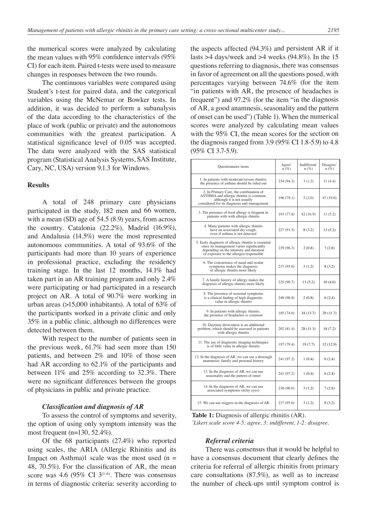the numerical scores were analyzed by calculating the mean values with 95% confidence intervals (95% CI) for each item. Paired t-tests were used to measure changes in responses between the two rounds.

The continuous variables were compared using Student's t-test for paired data, and the categorical variables using the McNemar or Bowker tests. In addition, it was decided to perform a subanalysis of the data according to the characteristics of the place of work (public or private) and the autonomous communities with the greatest participation. A statistical significance level of 0.05 was accepted. The data were analyzed with the SAS statistical program (Statistical Analysis Systems, SAS Institute, Cary, NC, USA) version 9.1.3 for Windows.

## **Results**

A total of 248 primary care physicians participated in the study, 182 men and 66 women, with a mean (SD) age of 54.5 (8.9) years, from across the country. Catalonia (22.2%), Madrid (16.9%), and Andalusia (14.5%) were the most represented autonomous communities. A total of 93.6% of the participants had more than 10 years of experience in professional practice, excluding the residency training stage. In the last 12 months, 14.1% had taken part in an AR training program and only 2.4% were participating or had participated in a research project on AR. A total of 90.7% were working in urban areas (>15,000 inhabitants). A total of 63% of the participants worked in a private clinic and only 35% in a public clinic, although no differences were detected between them.

With respect to the number of patients seen in the previous week, 61.7% had seen more than 150 patients, and between 2% and 10% of those seen had AR according to 62.1% of the participants and between 11% and 25% according to 32.3%. There were no significant differences between the groups of physicians in public and private practice.

#### *Classification and diagnosis of AR*

To assess the control of symptoms and severity, the option of using only symptom intensity was the most frequent (n=130, 52.4%).

Of the 68 participants (27.4%) who reported using scales, the ARIA (Allergic Rhinitis and its Impact on Asthma)1 scale was the most used  $(n =$ 48, 70.5%). For the classification of AR, the mean score was 4.6 (95% CI  $3^{(1-6)}$ . There was consensus in terms of diagnostic criteria: severity according to the aspects affected (94.3%) and persistent AR if it lasts >4 days/week and >4 weeks (94.8%). In the 15 questions referring to diagnosis, there was consensus in favor of agreement on all the questions posed, with percentages varying between 74.6% (for the item "in patients with AR, the presence of headaches is frequent") and 97.2% (for the item "in the diagnosis of AR, a good anamnesis, seasonality and the pattern of onset can be used") (Table 1). When the numerical scores were analyzed by calculating mean values with the 95% CI, the mean scores for the section on the diagnosis ranged from 3.9 (95% CI 1.8-5.9) to 4.8 (95% CI 3.7-5.9).

| Questionnaire items                                                                                                                                                                     | Agree <sup>*</sup><br>$n(\%)$ | Indifferent <sup>*</sup><br>$n(\%)$ | Disagree*<br>$n (\%)$ |
|-----------------------------------------------------------------------------------------------------------------------------------------------------------------------------------------|-------------------------------|-------------------------------------|-----------------------|
| 1. In patients with moderate/severe rhinitis,<br>the presence of asthma should be ruled out                                                                                             | 234 (94.3)                    | 3(1.2)                              | 11 (4.4)              |
| 2. In Primary Care, the combination of<br>ASTHMA and allergic rhinitis is common,<br>although it is not usually<br>considered for its diagnosis and management                          | 196 (79.1)                    | 5(2.0)                              | 47 (19.0)             |
| 3. The presence of food allergy is frequent in<br>patients with with allergic rhinitis                                                                                                  | 193 (77.8)                    | 42 (16.9)                           | 13 (5.2)              |
| 4. Many patients with allergic rhinitis<br>have an associated dry cough,<br>even if asthma is not detected                                                                              | 227 (91.5)                    | 8(3.2)                              | 13(5.2)               |
| 5. Early diagnosis of allergic rhinitis is essential<br>since its management varies significantly<br>depending on the intensity and duration<br>of exposure to the allergen responsible | 239 (96.3)                    | 2(0.8)                              | 7(2.8)                |
| 6. The concurrence of nasal and ocular<br>symptoms makes the diagnosis<br>of allergic rhinitis more likely                                                                              | 237 (95.6)                    | 3(1.2)                              | 8(3.2)                |
| 7. A family history of allergy makes the<br>diagnosis of allergic rhinitis more likely                                                                                                  | 225 (90.7)                    | 13(5.2)                             | 10(4.0)               |
| 8. The presence of seasonal symptoms<br>is a clinical finding of high diagnostic<br>value in allergic rhinitis                                                                          | 240 (96.8)                    | 2(0.8)                              | 6(2.4)                |
| 9. In patients with allergic rhinitis,<br>the presence of headaches is common                                                                                                           | 185 (74.6)                    | 34 (13.7)                           | 29 (11.7)             |
| 10. Daytime drowsiness is an additional<br>problem, which should be assessed in patients<br>with allergic rhinitis                                                                      | 202 (81.4)                    | 28 (11.3)                           | 18 (7.2)              |
| 11. The use of diagnostic imaging techniques<br>is of little value in allergic rhinitis                                                                                                 | 197 (79.4)                    | 19(7.7)                             | 32 (12.9)             |
| 12. In the diagnosis of AR, we can use a thorough<br>anamnesis: family and personal history                                                                                             | 241 (97.2)                    | 1(0.4)                              | 6(2.4)                |
| 13. In the diagnosis of AR, we can use<br>seasonality and the pattern of onset                                                                                                          | 241 (97.2)                    | 1(0.4)                              | 6(2.4)                |
| 14. In the diagnosis of AR, we can use<br>associated symptoms (itchy eyes)                                                                                                              | 238 (96.0)                    | 3(1.2)                              | 7(2.8)                |
| 15. We can use triggers in the diagnosis of AR                                                                                                                                          | 237 (95.6)                    | 3(1.2)                              | 8(3.2)                |

**Table 1:** Diagnosis of allergic rhinitis (AR).

*\* Likert scale score 4-5: agree, 3: indifferent, 1-2: disagree.*

### *Referral criteria*

There was consensus that it would be helpful to have a consensus document that clearly defines the criteria for referral of allergic rhinitis from primary care consultations (87.5%), as well as to increase the number of check-ups until symptom control is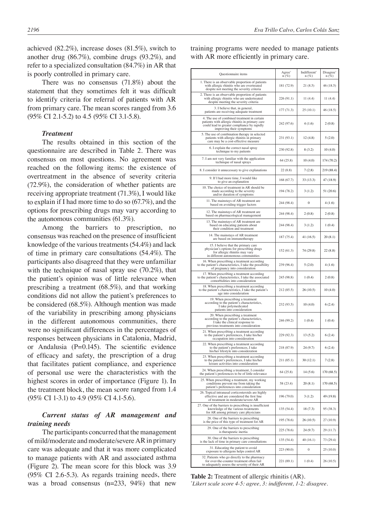achieved (82.2%), increase doses (81.5%), switch to another drug (86.7%), combine drugs (93.2%), and refer to a specialized consultation (84.7%) in AR that is poorly controlled in primary care.

There was no consensus (71.8%) about the statement that they sometimes felt it was difficult to identify criteria for referral of patients with AR from primary care. The mean scores ranged from 3.6 (95% CI 2.1-5.2) to 4.5 (95% CI 3.1-5.8).

## *Treatment*

The results obtained in this section of the questionnaire are described in Table 2. There was consensus on most questions. No agreement was reached on the following items: the existence of overtreatment in the absence of severity criteria (72.9%), the consideration of whether patients are receiving appropriate treatment (71.3%), I would like to explain if I had more time to do so (67.7%), and the options for prescribing drugs may vary according to the autonomous communities (61.3%).

Among the barriers to prescription, no consensus was reached on the presence of insufficient knowledge of the various treatments (54.4%) and lack of time in primary care consultations (54.4%). The participants also disagreed that they were unfamiliar with the technique of nasal spray use (70.2%), that the patient's opinion was of little relevance when prescribing a treatment (68.5%), and that working conditions did not allow the patient's preferences to be considered (68.5%). Although mention was made of the variability in prescribing among physicians in the different autonomous communities, there were no significant differences in the percentages of responses between physicians in Catalonia, Madrid, or Andalusia (P=0.145). The scientific evidence of efficacy and safety, the prescription of a drug that facilitates patient compliance, and experience of personal use were the characteristics with the highest scores in order of importance (Figure 1). In the treatment block, the mean score ranged from 1.4 (95% CI 1-3.1) to 4.9 (95% CI 4.1-5.6).

## *Current status of AR management and training needs*

The participants concurred that the management of mild/moderate and moderate/severe AR in primary care was adequate and that it was more complicated to manage patients with AR and associated asthma (Figure 2). The mean score for this block was 3.9 (95% CI 2.6-5.3). As regards training needs, there was a broad consensus (n=233, 94%) that new

training programs were needed to manage patients with AR more efficiently in primary care.

| Questionnaire items                                                                                                                                                       | Agree <sup>*</sup><br>$n(\%)$ | Indifferent <sup>®</sup><br>$n(\%)$ | Disagree <sup>®</sup><br>$n(\overline{\%})$ |
|---------------------------------------------------------------------------------------------------------------------------------------------------------------------------|-------------------------------|-------------------------------------|---------------------------------------------|
| 1. There is an observable proportion of patients<br>with allergic rhinitis who are overtreated<br>despite not meeting the severity criteria                               | 181 (72.9)                    | 21(8.5)                             | 46 (18.5)                                   |
| 2. There is an observable proportion of patients<br>with allergic rhinitis who are undertreated<br>despite meeting the severity criteria                                  | 226 (91.1)                    | 11 (4.4)                            | 11(4.4)                                     |
| 3. I believe that, in general,<br>patients are receiving adequate treatment                                                                                               | 177 (71.3)                    | 25(10.1)                            | 46 (18.5)                                   |
| 4. The use of combined treatment in certain<br>patients with allergic rhinitis in primary care<br>could lead to greater compliance by rapidly<br>improving their symptoms | 242 (97.6)                    | 4 (1.6)                             | 2(0.8)                                      |
| 5. The use of combination therapy in selected<br>patients with allergic rhinitis in primary<br>care may be a cost-effective measure                                       | 231 (93.1)                    | 12(4.8)                             | 5(2.0)                                      |
| 6. I explain the correct nasal spray<br>technique to my patients                                                                                                          | 230 (92.8)                    | 8 (3.2)                             | 10(4.0)                                     |
| 7. I am not very familiar with the application<br>technique of nasal sprays                                                                                               | 64 (25.8)                     | 10(4.0)                             | 174 (70.2)                                  |
| 8. I consider it unnecessary to give explanations                                                                                                                         | 22(8.8)                       | 7(2.8)                              | 219 (88.4)                                  |
| 9. If I had more time, I would like<br>to give an explanation                                                                                                             | 168 (67.7)                    | 33 (13.3)                           | 47 (18.9)                                   |
| 10. The choice of treatment in AR should be<br>made according to the severity<br>and/or duration of symptoms                                                              | 194 (78.2)                    | 3(1.2)                              | 51 (20.6)                                   |
| 11. The mainstays of AR treatment are<br>based on avoiding trigger factors                                                                                                | 244 (98.4)                    | $\Omega$                            | 4(1.6)                                      |
| 12. The mainstays of AR treatment are<br>based on pharmacological management                                                                                              | 244 (98.4)                    | 2(0.8)                              | 2(0.8)                                      |
| 13. The mainstays of AR treatment are<br>based on educating patients about<br>their condition and treatment                                                               | 244 (98.4)                    | 3(1.2)                              | 1(0.4)                                      |
| 14. The mainstays of AR treatment<br>are based on immunotherapy                                                                                                           | 187 (75.4)                    | 41 (16.5)                           | 20(8.1)                                     |
| 15. I believe that the primary care<br>physician's options for prescribing drugs<br>for allergic rhinitis may vary<br>in different autonomous communities                 | 152 (61.3)                    | 74 (29.8)                           | 22(8.8)                                     |
| 16. When prescribing a treatment according<br>to the patient's characteristics, I take the possibility<br>of pregnancy into consideration                                 | 239 (96.4)                    | 5(2.0)                              | 4(1.6)                                      |
| 17. When prescribing a treatment according<br>to the patient's characteristics, I take the associated<br>comorbidities into consideration                                 | 245 (98.8)                    | 1(0.4)                              | 2(0.8)                                      |
| 18. When prescribing a treatment according<br>to the patient's characteristics, I take the patient's<br>age into consideration                                            | 212 (85.5)                    | 26(10.5)                            | 10(4.0)                                     |
| 19. When prescribing a treatment<br>according to the patient's characteristics,<br>I take polymedicated<br>patients into consideration                                    | 232 (93.5)                    | 10(4.0)                             | 6(2.4)                                      |
| 20. When prescribing a treatment<br>according to the patient's characteristics,<br>I take the clinical response to<br>previous treatments into consideration              | 246 (99.2)                    | 1(0.4)                              | 1(0.4)                                      |
| 21. When prescribing a treatment according<br>to the patient's preferences, I take his/her<br>occupation into consideration                                               | 229 (92.3)                    | 13 (5.2)                            | 6(2.4)                                      |
| 22. When prescribing a treatment according<br>to the patient's preferences, I take<br>his/her lifestyle into consideration                                                | 218 (87.9)                    | 24(9.7)                             | 6(2.4)                                      |
| 23. When prescribing a treatment according<br>to the patient's preferences, I take his/her<br>leisure activities into consideration                                       | 211 (85.1)                    | 30 (12.1)                           | 7(2.8)                                      |
| 24. When prescribing a treatment, I consider<br>the patient's preferences to be of little relevance                                                                       | 64 (25.8)                     | 14(5.6)                             | 170 (68.5)                                  |
| 25. When prescribing a treatment, my working<br>conditions prevent me from taking the<br>patient's preferences into consideration                                         | 58 (23.4)                     | 20(8.1)                             | 170 (68.5)                                  |
| 26. Topical intranasal corticosteroids are highly<br>effective and are considered the first line<br>of treatment in moderate/severe AR                                    | 196 (79.0)                    | 3(1.2)                              | 49 (19.8)                                   |
| 27. One of the barriers to prescribing is insufficient<br>knowledge of the various treatments<br>for AR among primary care physicians                                     | 135 (54.4)                    | 18 (7.3)                            | 95 (38.3)                                   |
| 28. One of the barriers to prescribing<br>is the price of this type of treatment for AR                                                                                   | 195 (78.6)                    | 26(10.5)                            | 27 (10.9)                                   |
| 29. One of the barriers to prescribing<br>is therapeutic inertia                                                                                                          | 225 (78.6)                    | 24(9.7)                             | 29 (11.7)                                   |
| 30. One of the barriers to prescribing<br>is the lack of time in primary care consultations                                                                               | 135 (54.4)                    | 40(16.1)                            | 73 (29.4)                                   |
| 31. Educating the patient to avoid<br>exposure to allergens helps control AR                                                                                              | 223 (90.0)                    | 0                                   | 25 (10.0)                                   |
| 32. Patients who go directly to the pharmacy<br>for over-the-counter treatment often fail<br>to adequately assess the severity of their AR                                | 221 (89.1)                    | 1(0.4)                              | 26 (10.5)                                   |

**Table 2:** Treatment of allergic rhinitis (AR). *\* Likert scale score 4-5: agree, 3: indifferent, 1-2: disagree.*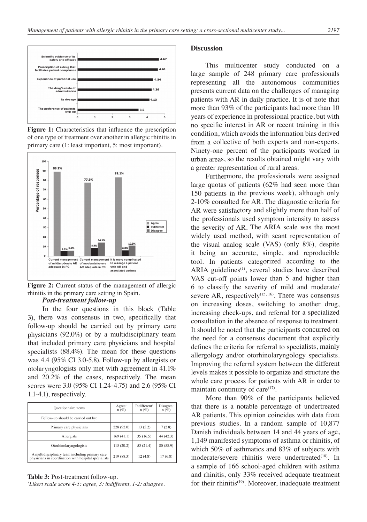

**Figure 1:** Characteristics that influence the prescription of one type of treatment over another in allergic rhinitis in primary care (1: least important, 5: most important).



Figure 2: Current status of the management of allergic rhinitis in the primary care setting in Spain.

### *Post-treatment follow-up*

In the four questions in this block (Table 3), there was consensus in two, specifically that follow-up should be carried out by primary care physicians (92.0%) or by a multidisciplinary team that included primary care physicians and hospital specialists (88.4%). The mean for these questions was 4.4 (95% CI 3.0-5.8). Follow-up by allergists or otolaryngologists only met with agreement in 41.1% and 20.2% of the cases, respectively. The mean scores were 3.0 (95% CI 1.24-4.75) and 2.6 (95% CI 1.1-4.1), respectively.

| Questionnaire items                                                                                     | Agree*<br>$n(\%)$ | Indifferent <sup>®</sup><br>$n(\%)$ | Disagree*<br>$n(\%)$ |
|---------------------------------------------------------------------------------------------------------|-------------------|-------------------------------------|----------------------|
| Follow-up should be carried out by:                                                                     |                   |                                     |                      |
| Primary care physicians                                                                                 | 228 (92.0)        | 13(5.2)                             | 7(2.8)               |
| Allergists                                                                                              | 169(41.1)         | 35(16.5)                            | 44 (42.3)            |
| Otorhinolaryngologists                                                                                  | 115(20.2)         | 53 (21.4)                           | 80 (58.9)            |
| A multidisciplinary team including primary care<br>physicians in coordination with hospital specialists | 219 (88.3)        | 12(4.8)                             | 17(6.8)              |

#### **Table 3:** Post-treatment follow-up.

*\* Likert scale score 4-5: agree, 3: indifferent, 1-2: disagree.*

#### **Discussion**

This multicenter study conducted on a large sample of 248 primary care professionals representing all the autonomous communities presents current data on the challenges of managing patients with AR in daily practice. It is of note that more than 93% of the participants had more than 10 years of experience in professional practice, but with no specific interest in AR or recent training in this condition, which avoids the information bias derived from a collective of both experts and non-experts. Ninety-one percent of the participants worked in urban areas, so the results obtained might vary with a greater representation of rural areas.

Furthermore, the professionals were assigned large quotas of patients (62% had seen more than 150 patients in the previous week), although only 2-10% consulted for AR. The diagnostic criteria for AR were satisfactory and slightly more than half of the professionals used symptom intensity to assess the severity of AR. The ARIA scale was the most widely used method, with scant representation of the visual analog scale (VAS) (only 8%), despite it being an accurate, simple, and reproducible tool. In patients categorized according to the ARIA guidelines<sup>(1)</sup>, several studies have described VAS cut-off points lower than 5 and higher than 6 to classify the severity of mild and moderate/ severe AR, respectively<sup> $(15, 16)$ </sup>. There was consensus on increasing doses, switching to another drug, increasing check-ups, and referral for a specialized consultation in the absence of response to treatment. It should be noted that the participants concurred on the need for a consensus document that explicitly defines the criteria for referral to specialists, mainly allergology and/or otorhinolaryngology specialists. Improving the referral system between the different levels makes it possible to organize and structure the whole care process for patients with AR in order to maintain continuity of care $(17)$ .

More than 90% of the participants believed that there is a notable percentage of undertreated AR patients. This opinion coincides with data from previous studies. In a random sample of 10,877 Danish individuals between 14 and 44 years of age, 1,149 manifested symptoms of asthma or rhinitis, of which 50% of asthmatics and 83% of subjects with moderate/severe rhinitis were undertreated<sup>(18)</sup>. In a sample of 166 school-aged children with asthma and rhinitis, only 33% received adequate treatment for their rhinitis<sup>(19)</sup>. Moreover, inadequate treatment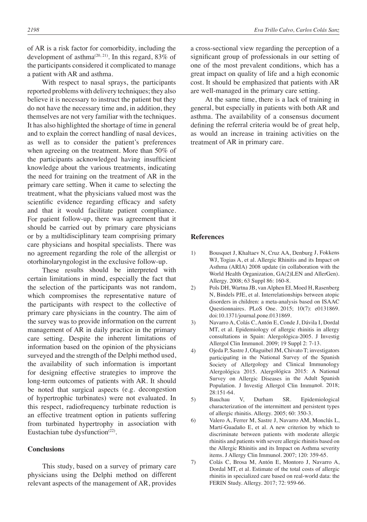of AR is a risk factor for comorbidity, including the development of asthma<sup> $(20, 21)$ </sup>. In this regard, 83% of the participants considered it complicated to manage a patient with AR and asthma.

With respect to nasal sprays, the participants reported problems with delivery techniques; they also believe it is necessary to instruct the patient but they do not have the necessary time and, in addition, they themselves are not very familiar with the techniques. It has also highlighted the shortage of time in general and to explain the correct handling of nasal devices, as well as to consider the patient's preferences when agreeing on the treatment. More than 50% of the participants acknowledged having insufficient knowledge about the various treatments, indicating the need for training on the treatment of AR in the primary care setting. When it came to selecting the treatment, what the physicians valued most was the scientific evidence regarding efficacy and safety and that it would facilitate patient compliance. For patient follow-up, there was agreement that it should be carried out by primary care physicians or by a multidisciplinary team comprising primary care physicians and hospital specialists. There was no agreement regarding the role of the allergist or otorhinolaryngologist in the exclusive follow-up.

These results should be interpreted with certain limitations in mind, especially the fact that the selection of the participants was not random, which compromises the representative nature of the participants with respect to the collective of primary care physicians in the country. The aim of the survey was to provide information on the current management of AR in daily practice in the primary care setting. Despite the inherent limitations of information based on the opinion of the physicians surveyed and the strength of the Delphi method used, the availability of such information is important for designing effective strategies to improve the long-term outcomes of patients with AR. It should be noted that surgical aspects (e.g. decongestion of hypertrophic turbinates) were not evaluated. In this respect, radiofrequency turbinate reduction is an effective treatment option in patients suffering from turbinated hypertrophy in association with Eustachian tube dysfunction $(22)$ .

## **Conclusions**

This study, based on a survey of primary care physicians using the Delphi method on different relevant aspects of the management of AR, provides

a cross-sectional view regarding the perception of a significant group of professionals in our setting of one of the most prevalent conditions, which has a great impact on quality of life and a high economic cost. It should be emphasized that patients with AR are well-managed in the primary care setting.

At the same time, there is a lack of training in general, but especially in patients with both AR and asthma. The availability of a consensus document defining the referral criteria would be of great help, as would an increase in training activities on the treatment of AR in primary care.

### **References**

- 1) Bousquet J, Khaltaev N, Cruz AA, Denburg J, Fokkens WJ, Togias A, et al. Allergic Rhinitis and its Impact on Asthma (ARIA) 2008 update (in collaboration with the World Health Organization, GA(2)LEN and AllerGen). Allergy. 2008; 63 Suppl 86: 160-8.
- 2) Pols DH, Wartna JB, van Alphen EI, Moed H, Rasenberg N, Bindels PJE, et al. Interrelationships between atopic disorders in children: a meta-analysis based on ISAAC Questionnaires. PLoS One. 2015; 10(7): e0131869. doi:10.1371/journal.pone.0131869.
- 3) Navarro A, Colás C, Antón E, Conde J, Dávila I, Dordal MT, et al. Epidemiology of allergic rhinitis in allergy consultations in Spain: Alergológica-2005. J Investig Allergol Clin Immunol. 2009; 19 Suppl 2: 7-13.
- 4) Ojeda P, Sastre J, Olaguibel JM, Chivato T; investigators participating in the National Survey of the Spanish Society of Allergology and Clinical Immunology Alergológica 2015. Alergológica 2015: A National Survey on Allergic Diseases in the Adult Spanish Population. J Investig Allergol Clin Immunol. 2018; 28:151-64.
- 5) Bauchau V, Durham SR. Epidemiological characterization of the intermittent and persistent types of allergic rhinitis. Allergy. 2005; 60: 350-3.
- 6) Valero A, Ferrer M, Sastre J, Navarro AM, Monclús L, Martí-Guadaño E, et al. A new criterion by which to discriminate between patients with moderate allergic rhinitis and patients with severe allergic rhinitis based on the Allergic Rhinitis and its Impact on Asthma severity items. J Allergy Clin Immunol. 2007; 120: 359-65.
- 7) Colás C, Brosa M, Antón E, Montoro J, Navarro A, Dordal MT, et al. Estimate of the total costs of allergic rhinitis in specialized care based on real-world data: the FERIN Study. Allergy. 2017; 72: 959-66.